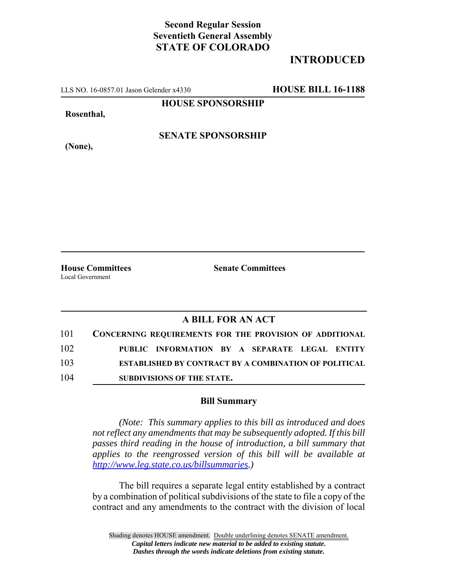## **Second Regular Session Seventieth General Assembly STATE OF COLORADO**

## **INTRODUCED**

LLS NO. 16-0857.01 Jason Gelender x4330 **HOUSE BILL 16-1188**

**HOUSE SPONSORSHIP**

**Rosenthal,**

**(None),**

**SENATE SPONSORSHIP**

Local Government

**House Committees Senate Committees** 

## **A BILL FOR AN ACT**

| 101 | <b>CONCERNING REQUIREMENTS FOR THE PROVISION OF ADDITIONAL</b> |
|-----|----------------------------------------------------------------|
| 102 | PUBLIC INFORMATION BY A SEPARATE LEGAL ENTITY                  |
| 103 | <b>ESTABLISHED BY CONTRACT BY A COMBINATION OF POLITICAL</b>   |
| 104 | SUBDIVISIONS OF THE STATE.                                     |

## **Bill Summary**

*(Note: This summary applies to this bill as introduced and does not reflect any amendments that may be subsequently adopted. If this bill passes third reading in the house of introduction, a bill summary that applies to the reengrossed version of this bill will be available at http://www.leg.state.co.us/billsummaries.)*

The bill requires a separate legal entity established by a contract by a combination of political subdivisions of the state to file a copy of the contract and any amendments to the contract with the division of local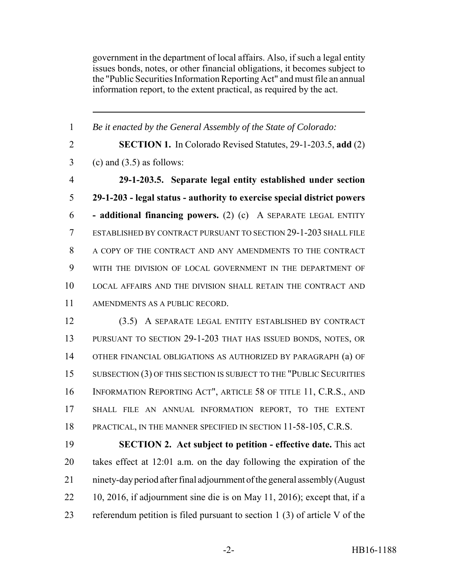government in the department of local affairs. Also, if such a legal entity issues bonds, notes, or other financial obligations, it becomes subject to the "Public Securities Information Reporting Act" and must file an annual information report, to the extent practical, as required by the act.

 *Be it enacted by the General Assembly of the State of Colorado:* **SECTION 1.** In Colorado Revised Statutes, 29-1-203.5, **add** (2)  $3 \quad$  (c) and  $(3.5)$  as follows: **29-1-203.5. Separate legal entity established under section 29-1-203 - legal status - authority to exercise special district powers - additional financing powers.** (2) (c) A SEPARATE LEGAL ENTITY ESTABLISHED BY CONTRACT PURSUANT TO SECTION 29-1-203 SHALL FILE A COPY OF THE CONTRACT AND ANY AMENDMENTS TO THE CONTRACT WITH THE DIVISION OF LOCAL GOVERNMENT IN THE DEPARTMENT OF LOCAL AFFAIRS AND THE DIVISION SHALL RETAIN THE CONTRACT AND AMENDMENTS AS A PUBLIC RECORD. (3.5) A SEPARATE LEGAL ENTITY ESTABLISHED BY CONTRACT PURSUANT TO SECTION 29-1-203 THAT HAS ISSUED BONDS, NOTES, OR OTHER FINANCIAL OBLIGATIONS AS AUTHORIZED BY PARAGRAPH (a) OF 15 SUBSECTION (3) OF THIS SECTION IS SUBJECT TO THE "PUBLIC SECURITIES INFORMATION REPORTING ACT", ARTICLE 58 OF TITLE 11, C.R.S., AND SHALL FILE AN ANNUAL INFORMATION REPORT, TO THE EXTENT 18 PRACTICAL, IN THE MANNER SPECIFIED IN SECTION 11-58-105, C.R.S. **SECTION 2. Act subject to petition - effective date.** This act takes effect at 12:01 a.m. on the day following the expiration of the ninety-day period after final adjournment of the general assembly (August

referendum petition is filed pursuant to section 1 (3) of article V of the

10, 2016, if adjournment sine die is on May 11, 2016); except that, if a